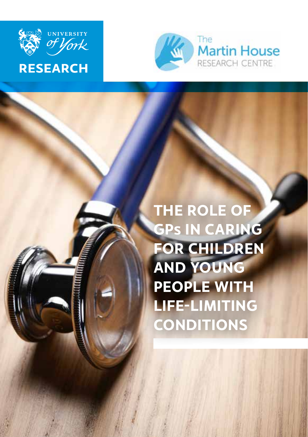



**THE ROLE OF GPs IN CARING FOR CHILDREN AND YOUNG PEOPLE WITH LIFE-LIMITING CONDITIONS**